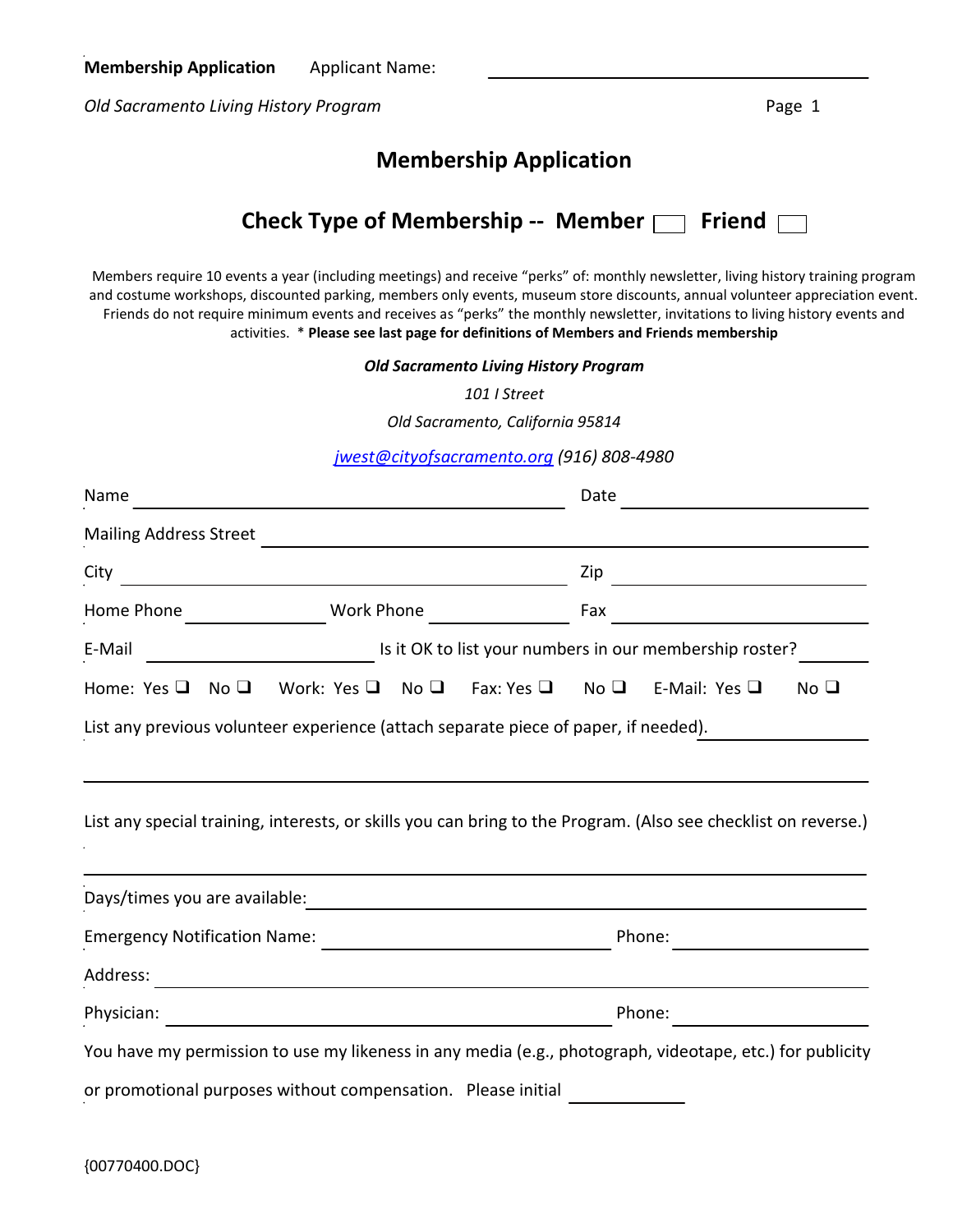*Old Sacramento Living History Program* Page 1

## **Membership Application**

|  | Check Type of Membership -- Member $\Box$ Friend $\Box$ |  |  |  |
|--|---------------------------------------------------------|--|--|--|
|--|---------------------------------------------------------|--|--|--|

Members require 10 events a year (including meetings) and receive "perks" of: monthly newsletter, living history training program and costume workshops, discounted parking, members only events, museum store discounts, annual volunteer appreciation event. Friends do not require minimum events and receives as "perks" the monthly newsletter, invitations to living history events and activities. \* **Please see last page for definitions of Members and Friends membership**

*Old Sacramento Living History Program*

*101 I Street*

*Old Sacramento, California 95814*

*[jwest@cityofsacramento.org](mailto:jwest@cityofsacramento.org) (916) 808-4980*

| Name                                                                                                                                                                     |            |  | Date |                                                                         |                 |
|--------------------------------------------------------------------------------------------------------------------------------------------------------------------------|------------|--|------|-------------------------------------------------------------------------|-----------------|
| <b>Mailing Address Street</b>                                                                                                                                            |            |  |      |                                                                         |                 |
| City                                                                                                                                                                     |            |  | Zip  |                                                                         |                 |
| Home Phone                                                                                                                                                               | Work Phone |  | Fax  |                                                                         |                 |
| E-Mail                                                                                                                                                                   |            |  |      | Is it OK to list your numbers in our membership roster?                 |                 |
| Home: Yes $\Box$ No $\Box$                                                                                                                                               |            |  |      | Work: Yes $\Box$ No $\Box$ Fax: Yes $\Box$ No $\Box$ E-Mail: Yes $\Box$ | No <sub>Q</sub> |
| List any special training, interests, or skills you can bring to the Program. (Also see checklist on reverse.)                                                           |            |  |      |                                                                         |                 |
| Days/times you are available:                                                                                                                                            |            |  |      |                                                                         |                 |
| <b>Emergency Notification Name:</b>                                                                                                                                      |            |  |      | Phone:                                                                  |                 |
| Address:                                                                                                                                                                 |            |  |      |                                                                         |                 |
| Physician:                                                                                                                                                               |            |  |      | Phone:                                                                  |                 |
| You have my permission to use my likeness in any media (e.g., photograph, videotape, etc.) for publicity<br>or promotional purposes without compensation. Please initial |            |  |      |                                                                         |                 |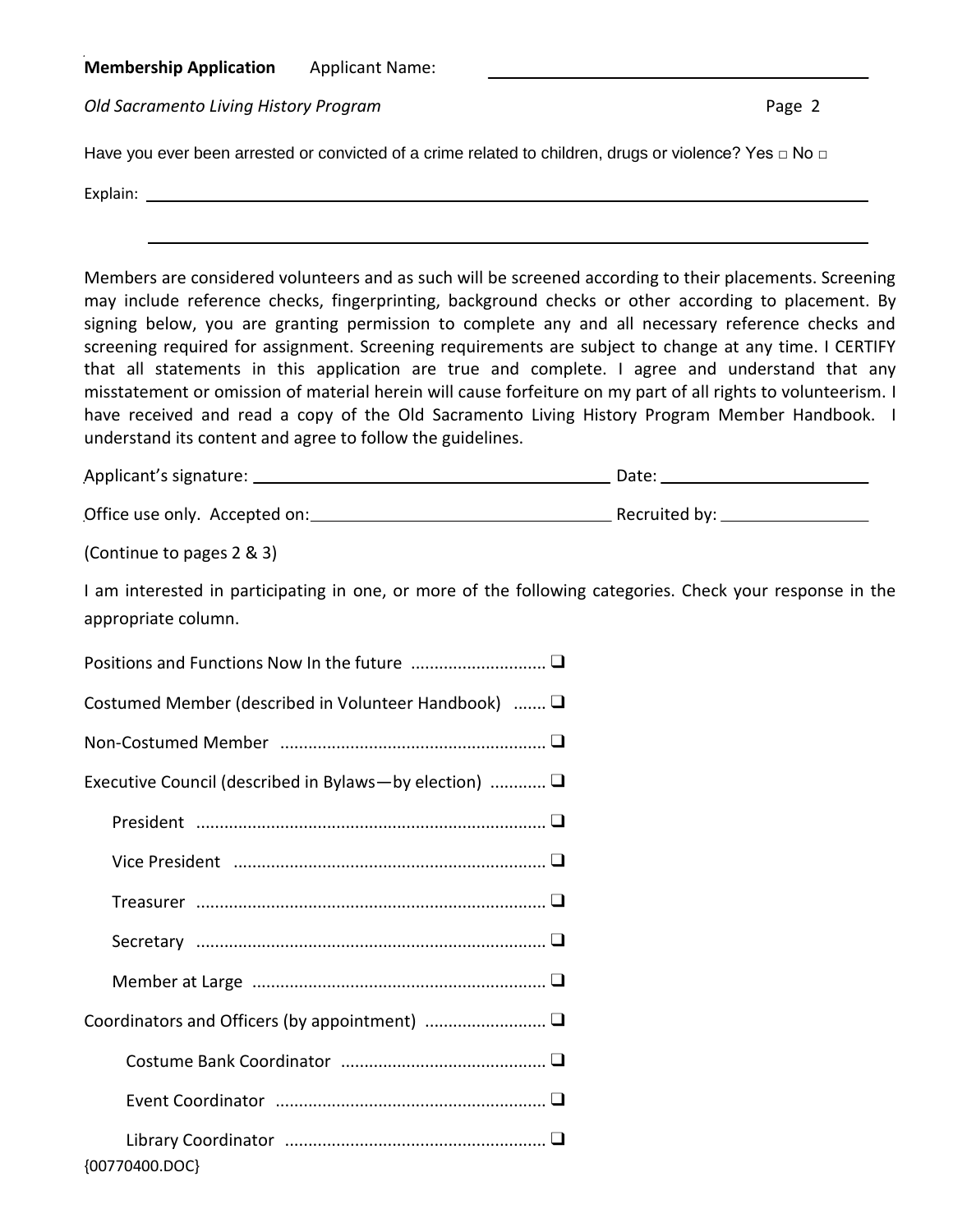**Membership Application** Applicant Name:

**Old Sacramento Living History Program**  Page 2

Have you ever been arrested or convicted of a crime related to children, drugs or violence? Yes □ No □

| $\overline{\phantom{0}}$<br>- - |  |  |  |
|---------------------------------|--|--|--|
|                                 |  |  |  |

Members are considered volunteers and as such will be screened according to their placements. Screening may include reference checks, fingerprinting, background checks or other according to placement. By signing below, you are granting permission to complete any and all necessary reference checks and screening required for assignment. Screening requirements are subject to change at any time. I CERTIFY that all statements in this application are true and complete. I agree and understand that any misstatement or omission of material herein will cause forfeiture on my part of all rights to volunteerism. I have received and read a copy of the Old Sacramento Living History Program Member Handbook. I understand its content and agree to follow the guidelines.

| Applicant's signature: | Date: |
|------------------------|-------|
|                        |       |

Office use only. Accepted on: Recruited by:

(Continue to pages 2 & 3)

I am interested in participating in one, or more of the following categories. Check your response in the appropriate column.

| Costumed Member (described in Volunteer Handbook) $\Box$ |
|----------------------------------------------------------|
|                                                          |
| Executive Council (described in Bylaws—by election)      |
|                                                          |
|                                                          |
|                                                          |
|                                                          |
|                                                          |
|                                                          |
|                                                          |
|                                                          |
| {00770400.DOC}                                           |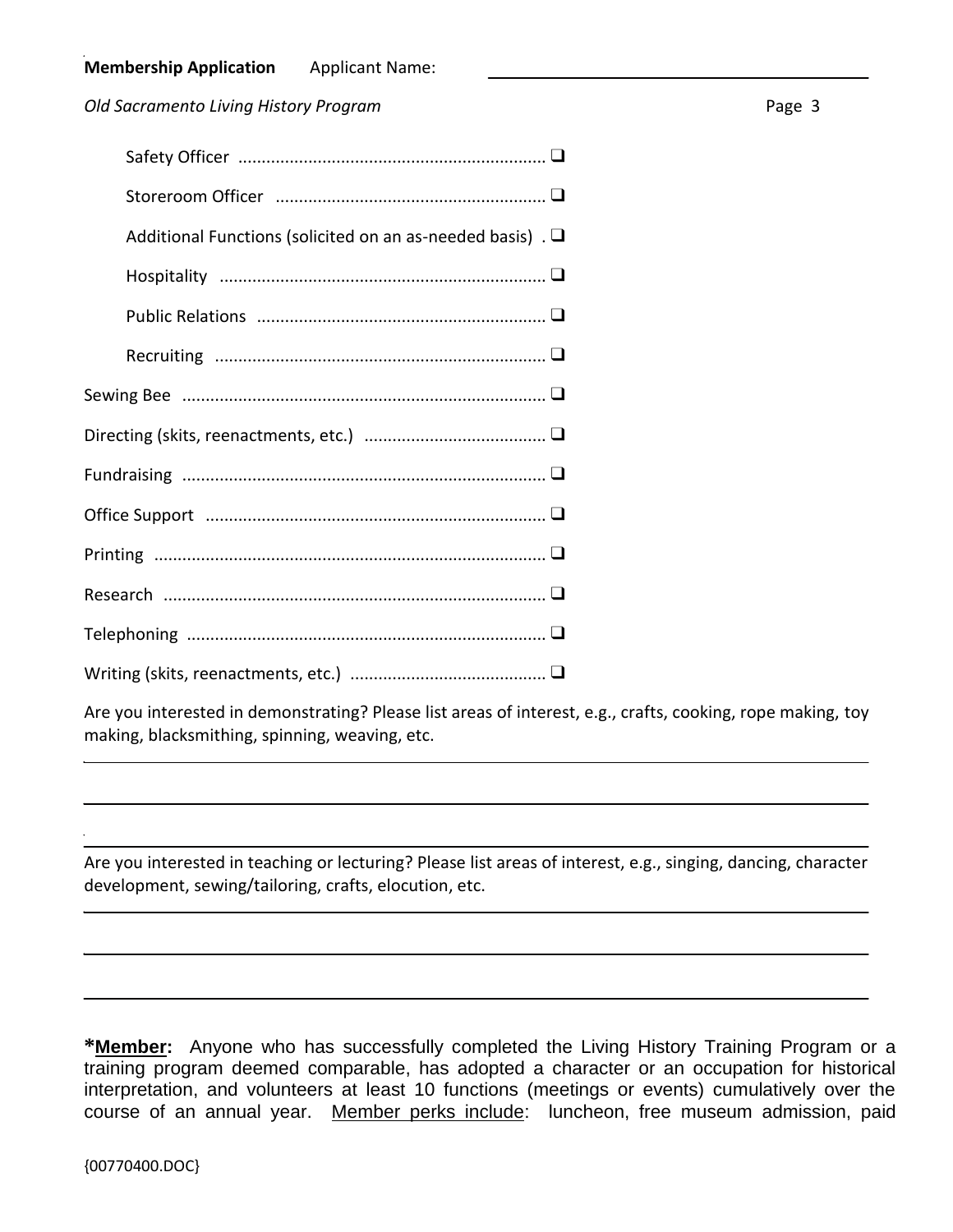**Old Sacramento Living History Program**  Page 3

| Additional Functions (solicited on an as-needed basis). $\Box$ |
|----------------------------------------------------------------|
|                                                                |
|                                                                |
|                                                                |
|                                                                |
|                                                                |
|                                                                |
|                                                                |
|                                                                |
|                                                                |
|                                                                |
|                                                                |

Are you interested in demonstrating? Please list areas of interest, e.g., crafts, cooking, rope making, toy making, blacksmithing, spinning, weaving, etc.

Are you interested in teaching or lecturing? Please list areas of interest, e.g., singing, dancing, character development, sewing/tailoring, crafts, elocution, etc.

**\*Member:** Anyone who has successfully completed the Living History Training Program or a training program deemed comparable, has adopted a character or an occupation for historical interpretation, and volunteers at least 10 functions (meetings or events) cumulatively over the course of an annual year. Member perks include: luncheon, free museum admission, paid